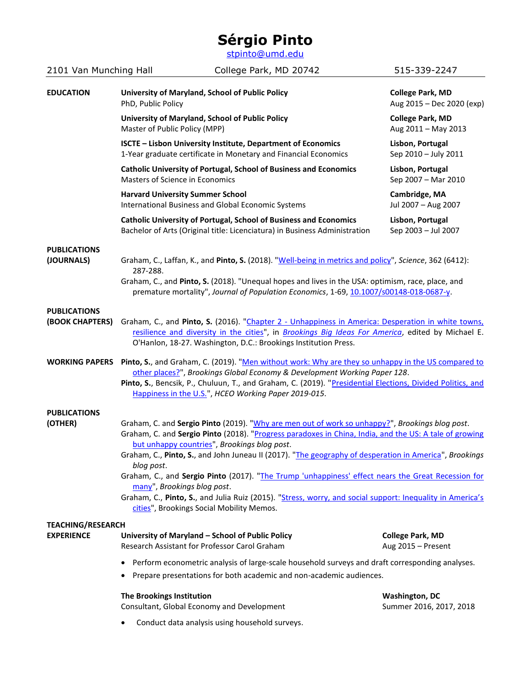## **Sérgio Pinto**

[stpinto@umd.edu](mailto:stpinto@umd.edu)

| 2101 Van Munching Hall                        | College Park, MD 20742                                                                                                                                                                                                                                                                                                                                                                                                                                                                                                                                                                                                                                                           | 515-339-2247                                         |  |
|-----------------------------------------------|----------------------------------------------------------------------------------------------------------------------------------------------------------------------------------------------------------------------------------------------------------------------------------------------------------------------------------------------------------------------------------------------------------------------------------------------------------------------------------------------------------------------------------------------------------------------------------------------------------------------------------------------------------------------------------|------------------------------------------------------|--|
| <b>EDUCATION</b>                              | University of Maryland, School of Public Policy<br>PhD, Public Policy                                                                                                                                                                                                                                                                                                                                                                                                                                                                                                                                                                                                            | <b>College Park, MD</b><br>Aug 2015 - Dec 2020 (exp) |  |
|                                               | University of Maryland, School of Public Policy<br>Master of Public Policy (MPP)                                                                                                                                                                                                                                                                                                                                                                                                                                                                                                                                                                                                 | <b>College Park, MD</b><br>Aug 2011 - May 2013       |  |
|                                               | ISCTE - Lisbon University Institute, Department of Economics<br>1-Year graduate certificate in Monetary and Financial Economics                                                                                                                                                                                                                                                                                                                                                                                                                                                                                                                                                  | Lisbon, Portugal<br>Sep 2010 - July 2011             |  |
|                                               | <b>Catholic University of Portugal, School of Business and Economics</b><br>Masters of Science in Economics                                                                                                                                                                                                                                                                                                                                                                                                                                                                                                                                                                      | Lisbon, Portugal<br>Sep 2007 - Mar 2010              |  |
|                                               | <b>Harvard University Summer School</b><br>International Business and Global Economic Systems                                                                                                                                                                                                                                                                                                                                                                                                                                                                                                                                                                                    | Cambridge, MA<br>Jul 2007 - Aug 2007                 |  |
|                                               | <b>Catholic University of Portugal, School of Business and Economics</b><br>Bachelor of Arts (Original title: Licenciatura) in Business Administration                                                                                                                                                                                                                                                                                                                                                                                                                                                                                                                           | Lisbon, Portugal<br>Sep 2003 - Jul 2007              |  |
| <b>PUBLICATIONS</b><br>(JOURNALS)             | Graham, C., Laffan, K., and Pinto, S. (2018). "Well-being in metrics and policy", Science, 362 (6412):<br>287-288.<br>Graham, C., and Pinto, S. (2018). "Unequal hopes and lives in the USA: optimism, race, place, and<br>premature mortality", Journal of Population Economics, 1-69, 10.1007/s00148-018-0687-y.                                                                                                                                                                                                                                                                                                                                                               |                                                      |  |
| <b>PUBLICATIONS</b><br>(BOOK CHAPTERS)        | Graham, C., and Pinto, S. (2016). "Chapter 2 - Unhappiness in America: Desperation in white towns,<br>resilience and diversity in the cities", in Brookings Big Ideas For America, edited by Michael E.<br>O'Hanlon, 18-27. Washington, D.C.: Brookings Institution Press.                                                                                                                                                                                                                                                                                                                                                                                                       |                                                      |  |
| <b>WORKING PAPERS</b>                         | Pinto, S., and Graham, C. (2019). "Men without work: Why are they so unhappy in the US compared to<br>other places?", Brookings Global Economy & Development Working Paper 128.<br>Pinto, S., Bencsik, P., Chuluun, T., and Graham, C. (2019). "Presidential Elections, Divided Politics, and<br>Happiness in the U.S.", HCEO Working Paper 2019-015.                                                                                                                                                                                                                                                                                                                            |                                                      |  |
| <b>PUBLICATIONS</b><br>(OTHER)                | Graham, C. and Sergio Pinto (2019). "Why are men out of work so unhappy?", Brookings blog post.<br>Graham, C. and Sergio Pinto (2018). "Progress paradoxes in China, India, and the US: A tale of growing<br>but unhappy countries", Brookings blog post.<br>Graham, C., Pinto, S., and John Juneau II (2017). "The geography of desperation in America", Brookings<br>blog post.<br>Graham, C., and Sergio Pinto (2017). "The Trump 'unhappiness' effect nears the Great Recession for<br>many", Brookings blog post.<br>Graham, C., Pinto, S., and Julia Ruiz (2015). "Stress, worry, and social support: Inequality in America's<br>cities", Brookings Social Mobility Memos. |                                                      |  |
| <b>TEACHING/RESEARCH</b><br><b>EXPERIENCE</b> | University of Maryland - School of Public Policy<br>Research Assistant for Professor Carol Graham                                                                                                                                                                                                                                                                                                                                                                                                                                                                                                                                                                                | <b>College Park, MD</b><br>Aug 2015 - Present        |  |
|                                               | Perform econometric analysis of large-scale household surveys and draft corresponding analyses.<br>Prepare presentations for both academic and non-academic audiences.                                                                                                                                                                                                                                                                                                                                                                                                                                                                                                           |                                                      |  |
|                                               | The Brookings Institution<br>Consultant, Global Economy and Development                                                                                                                                                                                                                                                                                                                                                                                                                                                                                                                                                                                                          | <b>Washington, DC</b><br>Summer 2016, 2017, 2018     |  |
|                                               | Conduct data analysis using household surveys.                                                                                                                                                                                                                                                                                                                                                                                                                                                                                                                                                                                                                                   |                                                      |  |